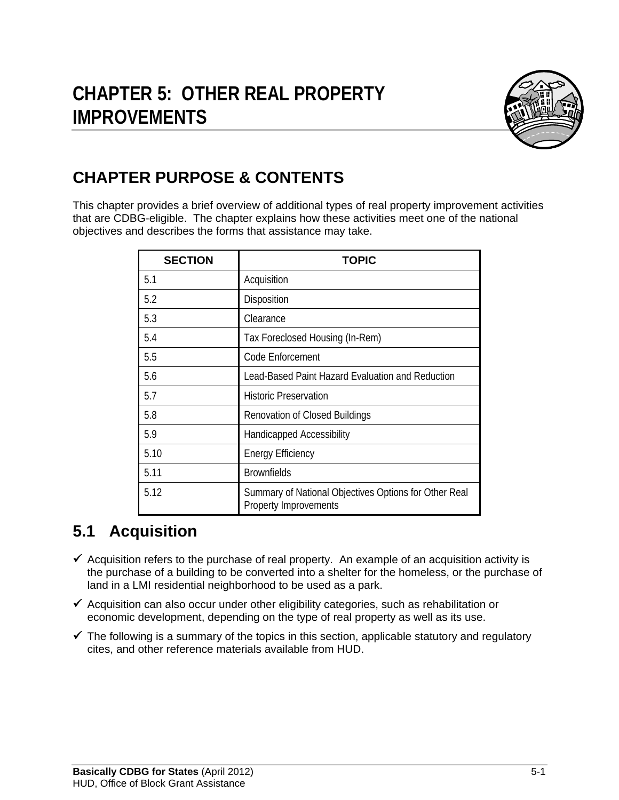

# **CHAPTER PURPOSE & CONTENTS**

This chapter provides a brief overview of additional types of real property improvement activities that are CDBG-eligible. The chapter explains how these activities meet one of the national objectives and describes the forms that assistance may take.

| <b>SECTION</b> | <b>TOPIC</b>                                                                   |
|----------------|--------------------------------------------------------------------------------|
| 5.1            | Acquisition                                                                    |
| 5.2            | Disposition                                                                    |
| 5.3            | Clearance                                                                      |
| 5.4            | Tax Foreclosed Housing (In-Rem)                                                |
| 5.5            | Code Enforcement                                                               |
| 5.6            | Lead-Based Paint Hazard Evaluation and Reduction                               |
| 5.7            | <b>Historic Preservation</b>                                                   |
| 5.8            | <b>Renovation of Closed Buildings</b>                                          |
| 5.9            | <b>Handicapped Accessibility</b>                                               |
| 5.10           | <b>Energy Efficiency</b>                                                       |
| 5.11           | <b>Brownfields</b>                                                             |
| 5.12           | Summary of National Objectives Options for Other Real<br>Property Improvements |

# **5.1 Acquisition**

- $\checkmark$  Acquisition refers to the purchase of real property. An example of an acquisition activity is the purchase of a building to be converted into a shelter for the homeless, or the purchase of land in a LMI residential neighborhood to be used as a park.
- $\checkmark$  Acquisition can also occur under other eligibility categories, such as rehabilitation or economic development, depending on the type of real property as well as its use.
- $\checkmark$  The following is a summary of the topics in this section, applicable statutory and regulatory cites, and other reference materials available from HUD.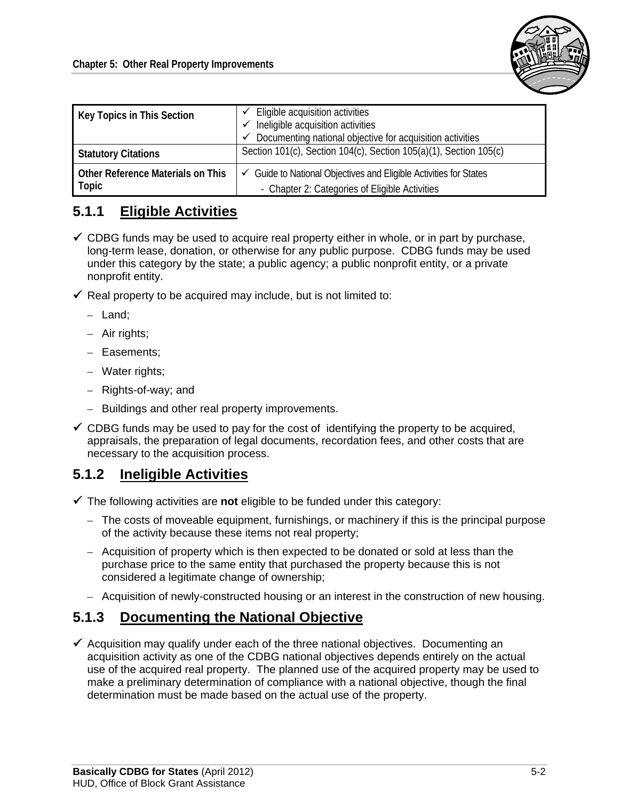

| Key Topics in This Section                 | Eligible acquisition activities<br>Ineligible acquisition activities<br>Documenting national objective for acquisition activities |
|--------------------------------------------|-----------------------------------------------------------------------------------------------------------------------------------|
| <b>Statutory Citations</b>                 | Section 101(c), Section 104(c), Section 105(a)(1), Section 105(c)                                                                 |
| Other Reference Materials on This<br>Topic | ✓ Guide to National Objectives and Eligible Activities for States<br>- Chapter 2: Categories of Eligible Activities               |

# **5.1.1 Eligible Activities**

- $\checkmark$  CDBG funds may be used to acquire real property either in whole, or in part by purchase, long-term lease, donation, or otherwise for any public purpose. CDBG funds may be used under this category by the state; a public agency; a public nonprofit entity, or a private nonprofit entity.
- $\checkmark$  Real property to be acquired may include, but is not limited to:
	- Land;
	- Air rights;
	- Easements;
	- Water rights;
	- Rights-of-way; and
	- Buildings and other real property improvements.
- $\checkmark$  CDBG funds may be used to pay for the cost of identifying the property to be acquired, appraisals, the preparation of legal documents, recordation fees, and other costs that are necessary to the acquisition process.

## **5.1.2 Ineligible Activities**

- $\checkmark$  The following activities are **not** eligible to be funded under this category:
	- The costs of moveable equipment, furnishings, or machinery if this is the principal purpose of the activity because these items not real property;
	- Acquisition of property which is then expected to be donated or sold at less than the purchase price to the same entity that purchased the property because this is not considered a legitimate change of ownership;
	- Acquisition of newly-constructed housing or an interest in the construction of new housing.

## **5.1.3 Documenting the National Objective**

 $\checkmark$  Acquisition may qualify under each of the three national objectives. Documenting an acquisition activity as one of the CDBG national objectives depends entirely on the actual use of the acquired real property. The planned use of the acquired property may be used to make a preliminary determination of compliance with a national objective, though the final determination must be made based on the actual use of the property.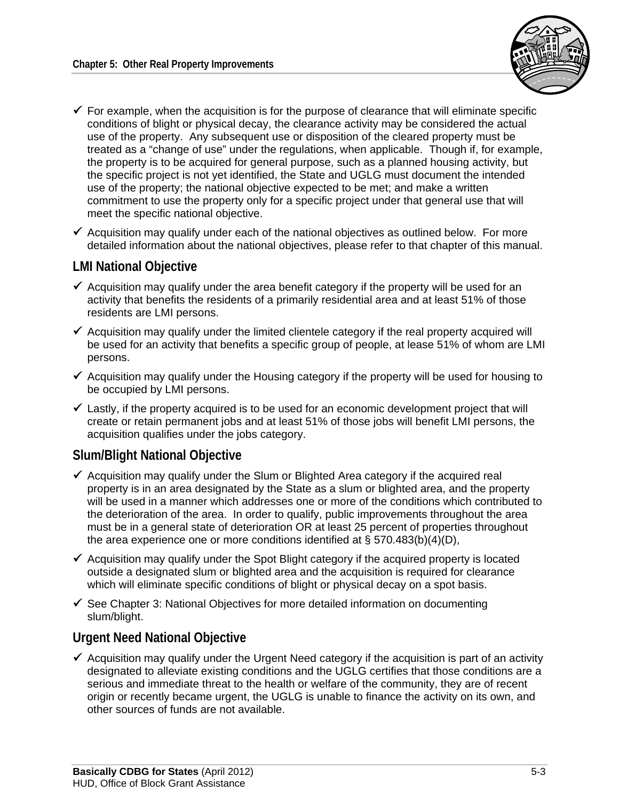

- $\checkmark$  For example, when the acquisition is for the purpose of clearance that will eliminate specific conditions of blight or physical decay, the clearance activity may be considered the actual use of the property. Any subsequent use or disposition of the cleared property must be treated as a "change of use" under the regulations, when applicable. Though if, for example, the property is to be acquired for general purpose, such as a planned housing activity, but the specific project is not yet identified, the State and UGLG must document the intended use of the property; the national objective expected to be met; and make a written commitment to use the property only for a specific project under that general use that will meet the specific national objective.
- $\checkmark$  Acquisition may qualify under each of the national objectives as outlined below. For more detailed information about the national objectives, please refer to that chapter of this manual.

### **LMI National Objective**

- $\checkmark$  Acquisition may qualify under the area benefit category if the property will be used for an activity that benefits the residents of a primarily residential area and at least 51% of those residents are LMI persons.
- $\checkmark$  Acquisition may qualify under the limited clientele category if the real property acquired will be used for an activity that benefits a specific group of people, at lease 51% of whom are LMI persons.
- $\checkmark$  Acquisition may qualify under the Housing category if the property will be used for housing to be occupied by LMI persons.
- $\checkmark$  Lastly, if the property acquired is to be used for an economic development project that will create or retain permanent jobs and at least 51% of those jobs will benefit LMI persons, the acquisition qualifies under the jobs category.

## **Slum/Blight National Objective**

- $\checkmark$  Acquisition may qualify under the Slum or Blighted Area category if the acquired real property is in an area designated by the State as a slum or blighted area, and the property will be used in a manner which addresses one or more of the conditions which contributed to the deterioration of the area. In order to qualify, public improvements throughout the area must be in a general state of deterioration OR at least 25 percent of properties throughout the area experience one or more conditions identified at § 570.483(b)(4)(D),
- $\checkmark$  Acquisition may qualify under the Spot Blight category if the acquired property is located outside a designated slum or blighted area and the acquisition is required for clearance which will eliminate specific conditions of blight or physical decay on a spot basis.
- $\checkmark$  See Chapter 3: National Objectives for more detailed information on documenting slum/blight.

## **Urgent Need National Objective**

 $\checkmark$  Acquisition may qualify under the Urgent Need category if the acquisition is part of an activity designated to alleviate existing conditions and the UGLG certifies that those conditions are a serious and immediate threat to the health or welfare of the community, they are of recent origin or recently became urgent, the UGLG is unable to finance the activity on its own, and other sources of funds are not available.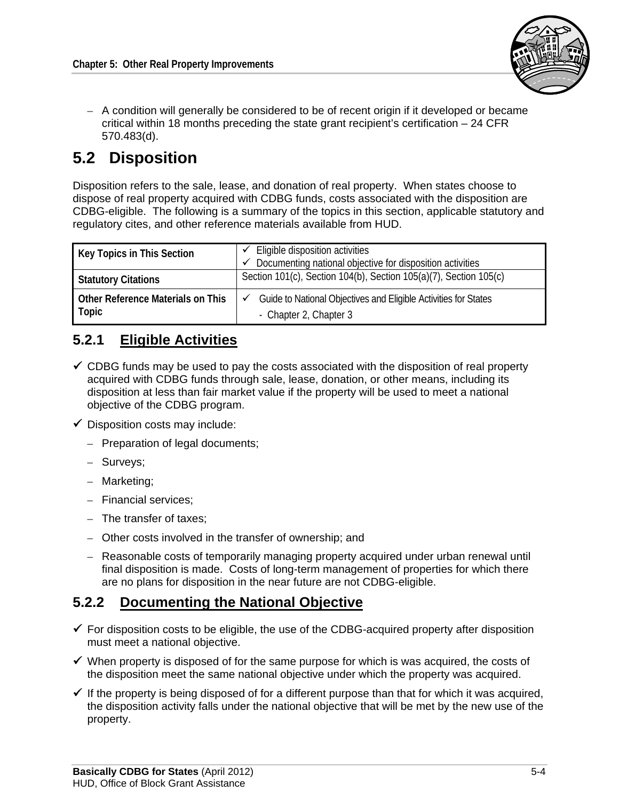

– A condition will generally be considered to be of recent origin if it developed or became critical within 18 months preceding the state grant recipient's certification  $-24$  CFR 570.483(d).

# **5.2 Disposition**

Disposition refers to the sale, lease, and donation of real property. When states choose to dispose of real property acquired with CDBG funds, costs associated with the disposition are CDBG-eligible. The following is a summary of the topics in this section, applicable statutory and regulatory cites, and other reference materials available from HUD.

| Key Topics in This Section                 | Eligible disposition activities<br>Documenting national objective for disposition activities |
|--------------------------------------------|----------------------------------------------------------------------------------------------|
| <b>Statutory Citations</b>                 | Section 101(c), Section 104(b), Section 105(a)(7), Section 105(c)                            |
| Other Reference Materials on This<br>Topic | Guide to National Objectives and Eligible Activities for States<br>- Chapter 2, Chapter 3    |

# **5.2.1 Eligible Activities**

- $\checkmark$  CDBG funds may be used to pay the costs associated with the disposition of real property acquired with CDBG funds through sale, lease, donation, or other means, including its disposition at less than fair market value if the property will be used to meet a national objective of the CDBG program.
- $\checkmark$  Disposition costs may include:
	- Preparation of legal documents;
	- Surveys;
	- Marketing;
	- Financial services;
	- The transfer of taxes;
	- Other costs involved in the transfer of ownership; and
	- Reasonable costs of temporarily managing property acquired under urban renewal until final disposition is made. Costs of long-term management of properties for which there are no plans for disposition in the near future are not CDBG-eligible.

# **5.2.2 Documenting the National Objective**

- $\checkmark$  For disposition costs to be eligible, the use of the CDBG-acquired property after disposition must meet a national objective.
- $\checkmark$  When property is disposed of for the same purpose for which is was acquired, the costs of the disposition meet the same national objective under which the property was acquired.
- $\checkmark$  If the property is being disposed of for a different purpose than that for which it was acquired, the disposition activity falls under the national objective that will be met by the new use of the property.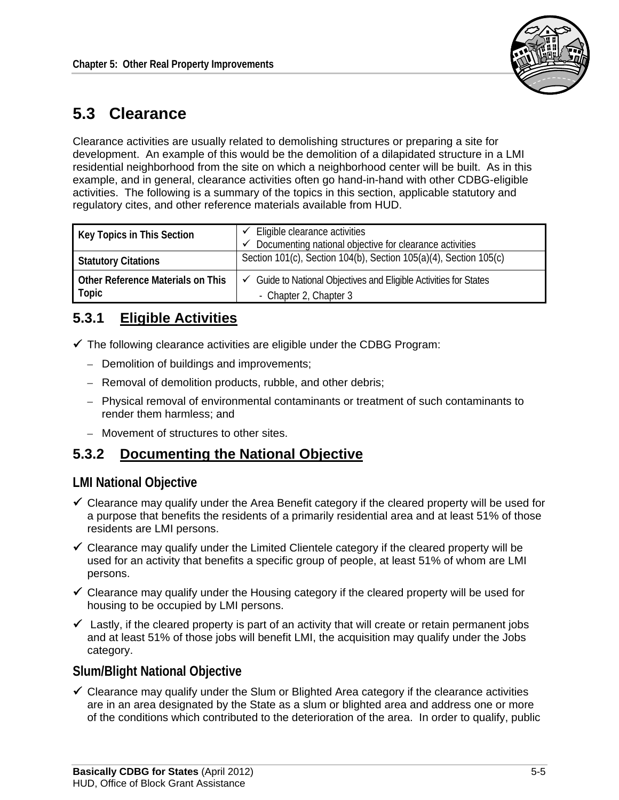

# **5.3 Clearance**

Clearance activities are usually related to demolishing structures or preparing a site for development. An example of this would be the demolition of a dilapidated structure in a LMI residential neighborhood from the site on which a neighborhood center will be built. As in this example, and in general, clearance activities often go hand-in-hand with other CDBG-eligible activities. The following is a summary of the topics in this section, applicable statutory and regulatory cites, and other reference materials available from HUD.

| Key Topics in This Section                 | Eligible clearance activities<br>Documenting national objective for clearance activities  |
|--------------------------------------------|-------------------------------------------------------------------------------------------|
| <b>Statutory Citations</b>                 | Section 101(c), Section 104(b), Section 105(a)(4), Section 105(c)                         |
| Other Reference Materials on This<br>Topic | Guide to National Objectives and Eligible Activities for States<br>- Chapter 2, Chapter 3 |

# **5.3.1 Eligible Activities**

- $\checkmark$  The following clearance activities are eligible under the CDBG Program:
	- Demolition of buildings and improvements;
	- Removal of demolition products, rubble, and other debris;
	- Physical removal of environmental contaminants or treatment of such contaminants to render them harmless; and
	- Movement of structures to other sites.

# **5.3.2 Documenting the National Objective**

### **LMI National Objective**

- $\checkmark$  Clearance may qualify under the Area Benefit category if the cleared property will be used for a purpose that benefits the residents of a primarily residential area and at least 51% of those residents are LMI persons.
- $\checkmark$  Clearance may qualify under the Limited Clientele category if the cleared property will be used for an activity that benefits a specific group of people, at least 51% of whom are LMI persons.
- $\checkmark$  Clearance may qualify under the Housing category if the cleared property will be used for housing to be occupied by LMI persons.
- $\checkmark$  Lastly, if the cleared property is part of an activity that will create or retain permanent jobs and at least 51% of those jobs will benefit LMI, the acquisition may qualify under the Jobs category.

## **Slum/Blight National Objective**

 $\checkmark$  Clearance may qualify under the Slum or Blighted Area category if the clearance activities are in an area designated by the State as a slum or blighted area and address one or more of the conditions which contributed to the deterioration of the area. In order to qualify, public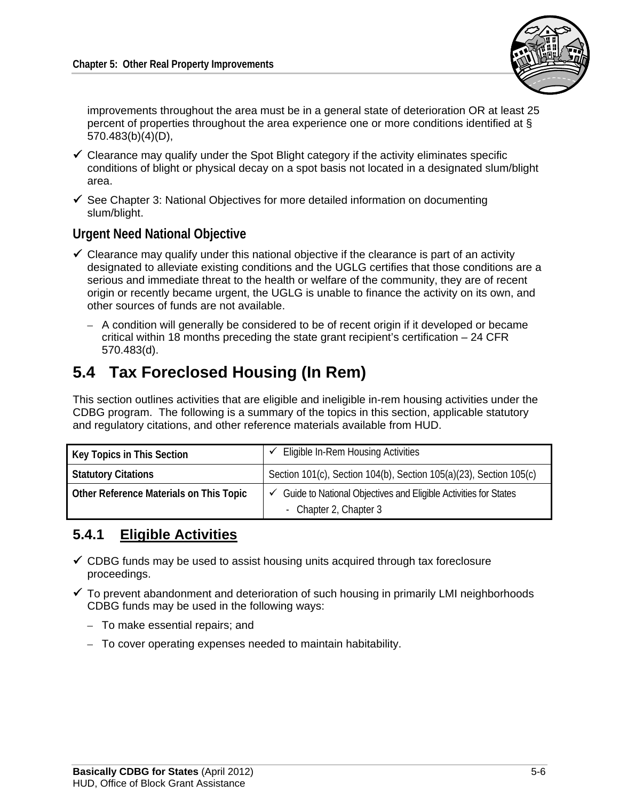

improvements throughout the area must be in a general state of deterioration OR at least 25 percent of properties throughout the area experience one or more conditions identified at § 570.483(b)(4)(D),

- $\checkmark$  Clearance may qualify under the Spot Blight category if the activity eliminates specific conditions of blight or physical decay on a spot basis not located in a designated slum/blight area.
- $\checkmark$  See Chapter 3: National Objectives for more detailed information on documenting slum/blight.

### **Urgent Need National Objective**

- $\checkmark$  Clearance may qualify under this national objective if the clearance is part of an activity designated to alleviate existing conditions and the UGLG certifies that those conditions are a serious and immediate threat to the health or welfare of the community, they are of recent origin or recently became urgent, the UGLG is unable to finance the activity on its own, and other sources of funds are not available.
	- A condition will generally be considered to be of recent origin if it developed or became critical within 18 months preceding the state grant recipient's certification – 24 CFR 570.483(d).

# **5.4 Tax Foreclosed Housing (In Rem)**

This section outlines activities that are eligible and ineligible in-rem housing activities under the CDBG program. The following is a summary of the topics in this section, applicable statutory and regulatory citations, and other reference materials available from HUD.

| <b>Key Topics in This Section</b>       | Eligible In-Rem Housing Activities                                                        |
|-----------------------------------------|-------------------------------------------------------------------------------------------|
| <b>Statutory Citations</b>              | Section 101(c), Section 104(b), Section 105(a)(23), Section 105(c)                        |
| Other Reference Materials on This Topic | Guide to National Objectives and Eligible Activities for States<br>- Chapter 2, Chapter 3 |

## **5.4.1 Eligible Activities**

- $\checkmark$  CDBG funds may be used to assist housing units acquired through tax foreclosure proceedings.
- $\checkmark$  To prevent abandonment and deterioration of such housing in primarily LMI neighborhoods CDBG funds may be used in the following ways:
	- To make essential repairs; and
	- To cover operating expenses needed to maintain habitability.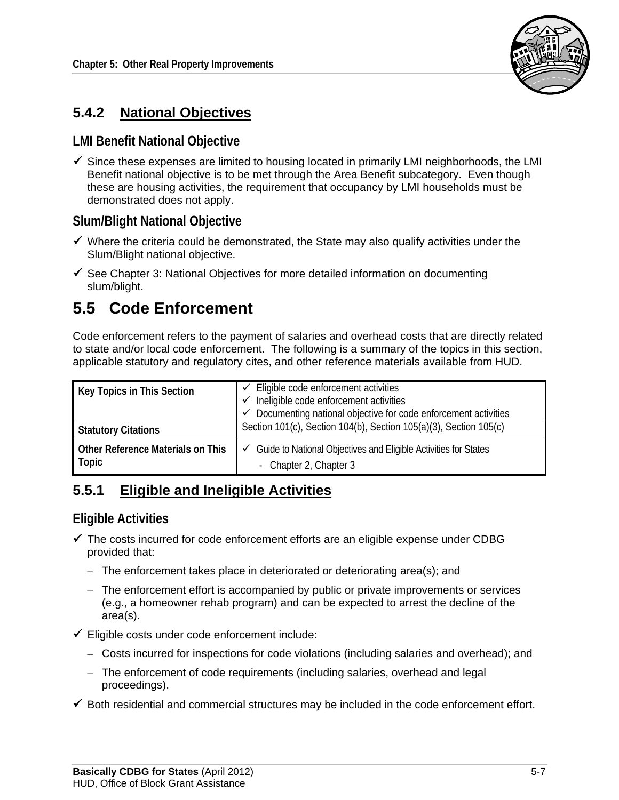

# **5.4.2 National Objectives**

### **LMI Benefit National Objective**

 $\checkmark$  Since these expenses are limited to housing located in primarily LMI neighborhoods, the LMI Benefit national objective is to be met through the Area Benefit subcategory. Even though these are housing activities, the requirement that occupancy by LMI households must be demonstrated does not apply.

## **Slum/Blight National Objective**

- $\checkmark$  Where the criteria could be demonstrated, the State may also qualify activities under the Slum/Blight national objective.
- $\checkmark$  See Chapter 3: National Objectives for more detailed information on documenting slum/blight.

# **5.5 Code Enforcement**

Code enforcement refers to the payment of salaries and overhead costs that are directly related to state and/or local code enforcement. The following is a summary of the topics in this section, applicable statutory and regulatory cites, and other reference materials available from HUD.

| Key Topics in This Section                 | $\checkmark$ Eligible code enforcement activities<br>Ineligible code enforcement activities<br>Documenting national objective for code enforcement activities |
|--------------------------------------------|---------------------------------------------------------------------------------------------------------------------------------------------------------------|
| <b>Statutory Citations</b>                 | Section 101(c), Section 104(b), Section 105(a)(3), Section 105(c)                                                                                             |
| Other Reference Materials on This<br>Topic | Guide to National Objectives and Eligible Activities for States<br>✓<br>- Chapter 2, Chapter 3                                                                |

# **5.5.1 Eligible and Ineligible Activities**

### **Eligible Activities**

- $\checkmark$  The costs incurred for code enforcement efforts are an eligible expense under CDBG provided that:
	- The enforcement takes place in deteriorated or deteriorating area(s); and
	- The enforcement effort is accompanied by public or private improvements or services (e.g., a homeowner rehab program) and can be expected to arrest the decline of the area(s).
- $\checkmark$  Eligible costs under code enforcement include:
	- Costs incurred for inspections for code violations (including salaries and overhead); and
	- The enforcement of code requirements (including salaries, overhead and legal proceedings).
- $\checkmark$  Both residential and commercial structures may be included in the code enforcement effort.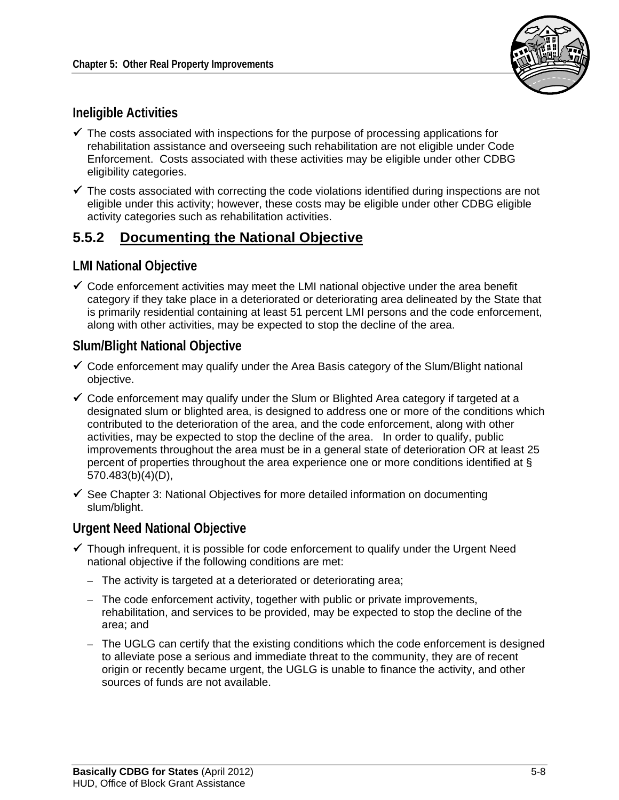

## **Ineligible Activities**

- $\checkmark$  The costs associated with inspections for the purpose of processing applications for rehabilitation assistance and overseeing such rehabilitation are not eligible under Code Enforcement. Costs associated with these activities may be eligible under other CDBG eligibility categories.
- $\checkmark$  The costs associated with correcting the code violations identified during inspections are not eligible under this activity; however, these costs may be eligible under other CDBG eligible activity categories such as rehabilitation activities.

## **5.5.2 Documenting the National Objective**

### **LMI National Objective**

 $\checkmark$  Code enforcement activities may meet the LMI national objective under the area benefit category if they take place in a deteriorated or deteriorating area delineated by the State that is primarily residential containing at least 51 percent LMI persons and the code enforcement, along with other activities, may be expected to stop the decline of the area.

## **Slum/Blight National Objective**

- $\checkmark$  Code enforcement may qualify under the Area Basis category of the Slum/Blight national objective.
- $\checkmark$  Code enforcement may qualify under the Slum or Blighted Area category if targeted at a designated slum or blighted area, is designed to address one or more of the conditions which contributed to the deterioration of the area, and the code enforcement, along with other activities, may be expected to stop the decline of the area. In order to qualify, public improvements throughout the area must be in a general state of deterioration OR at least 25 percent of properties throughout the area experience one or more conditions identified at § 570.483(b)(4)(D),
- $\checkmark$  See Chapter 3: National Objectives for more detailed information on documenting slum/blight.

### **Urgent Need National Objective**

- $\checkmark$  Though infrequent, it is possible for code enforcement to qualify under the Urgent Need national objective if the following conditions are met:
	- The activity is targeted at a deteriorated or deteriorating area;
	- The code enforcement activity, together with public or private improvements, rehabilitation, and services to be provided, may be expected to stop the decline of the area; and
	- The UGLG can certify that the existing conditions which the code enforcement is designed to alleviate pose a serious and immediate threat to the community, they are of recent origin or recently became urgent, the UGLG is unable to finance the activity, and other sources of funds are not available.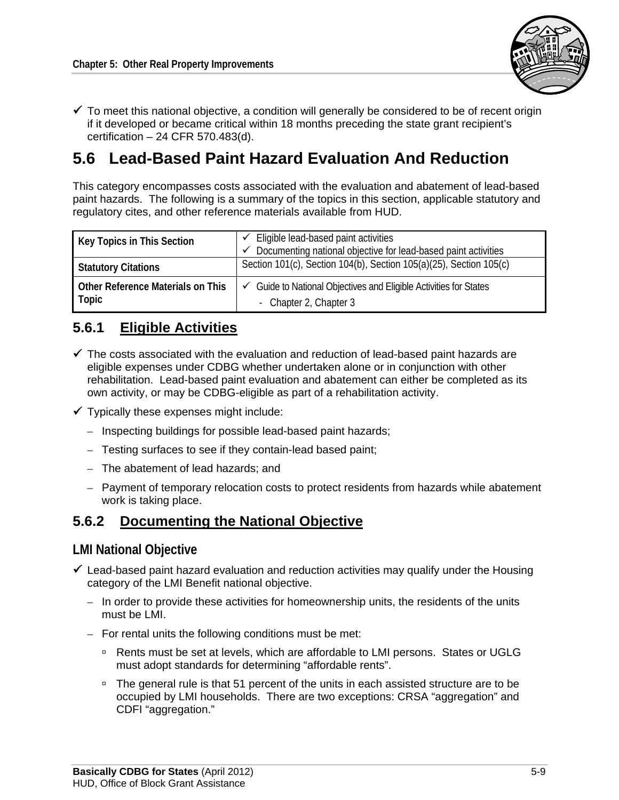

 $\checkmark$  To meet this national objective, a condition will generally be considered to be of recent origin if it developed or became critical within 18 months preceding the state grant recipient's certification – 24 CFR 570.483(d).

# **5.6 Lead-Based Paint Hazard Evaluation And Reduction**

This category encompasses costs associated with the evaluation and abatement of lead-based paint hazards. The following is a summary of the topics in this section, applicable statutory and regulatory cites, and other reference materials available from HUD.

| Key Topics in This Section                 | Eligible lead-based paint activities<br>Documenting national objective for lead-based paint activities |
|--------------------------------------------|--------------------------------------------------------------------------------------------------------|
| <b>Statutory Citations</b>                 | Section 101(c), Section 104(b), Section 105(a)(25), Section 105(c)                                     |
| Other Reference Materials on This<br>Topic | $\checkmark$ Guide to National Objectives and Eligible Activities for States<br>- Chapter 2, Chapter 3 |

# **5.6.1 Eligible Activities**

- $\checkmark$  The costs associated with the evaluation and reduction of lead-based paint hazards are eligible expenses under CDBG whether undertaken alone or in conjunction with other rehabilitation. Lead-based paint evaluation and abatement can either be completed as its own activity, or may be CDBG-eligible as part of a rehabilitation activity.
- $\checkmark$  Typically these expenses might include:
	- Inspecting buildings for possible lead-based paint hazards;
	- Testing surfaces to see if they contain-lead based paint;
	- The abatement of lead hazards; and
	- Payment of temporary relocation costs to protect residents from hazards while abatement work is taking place.

## **5.6.2 Documenting the National Objective**

#### **LMI National Objective**

- $\checkmark$  Lead-based paint hazard evaluation and reduction activities may qualify under the Housing category of the LMI Benefit national objective.
	- In order to provide these activities for homeownership units, the residents of the units must be LMI.
	- For rental units the following conditions must be met:
		- □ Rents must be set at levels, which are affordable to LMI persons. States or UGLG must adopt standards for determining "affordable rents".
		- □ The general rule is that 51 percent of the units in each assisted structure are to be occupied by LMI households. There are two exceptions: CRSA "aggregation" and CDFI "aggregation."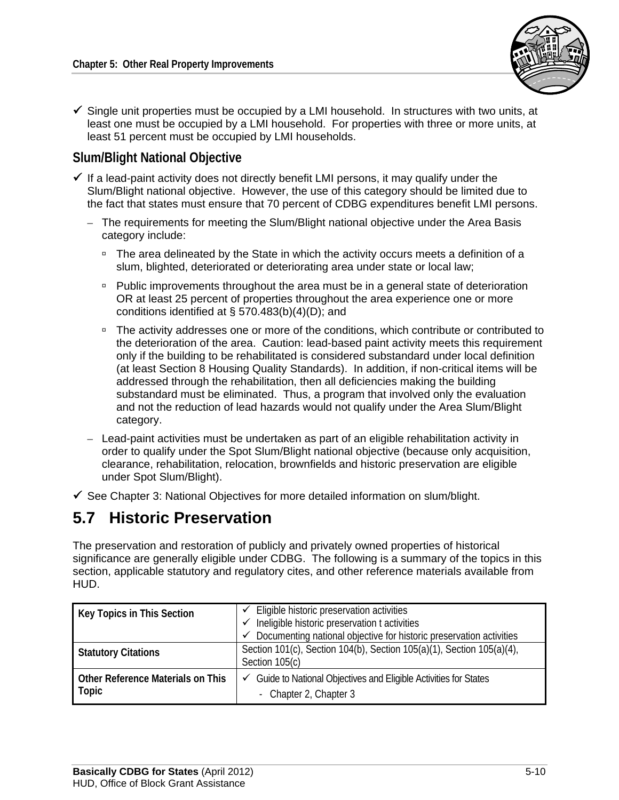

 $\checkmark$  Single unit properties must be occupied by a LMI household. In structures with two units, at least one must be occupied by a LMI household. For properties with three or more units, at least 51 percent must be occupied by LMI households.

## **Slum/Blight National Objective**

- $\checkmark$  If a lead-paint activity does not directly benefit LMI persons, it may qualify under the Slum/Blight national objective. However, the use of this category should be limited due to the fact that states must ensure that 70 percent of CDBG expenditures benefit LMI persons.
	- The requirements for meeting the Slum/Blight national objective under the Area Basis category include:
		- □ The area delineated by the State in which the activity occurs meets a definition of a slum, blighted, deteriorated or deteriorating area under state or local law;
		- Public improvements throughout the area must be in a general state of deterioration OR at least 25 percent of properties throughout the area experience one or more conditions identified at § 570.483(b)(4)(D); and
		- <sup>n</sup> The activity addresses one or more of the conditions, which contribute or contributed to the deterioration of the area. Caution: lead-based paint activity meets this requirement only if the building to be rehabilitated is considered substandard under local definition (at least Section 8 Housing Quality Standards). In addition, if non-critical items will be addressed through the rehabilitation, then all deficiencies making the building substandard must be eliminated. Thus, a program that involved only the evaluation and not the reduction of lead hazards would not qualify under the Area Slum/Blight category.
	- Lead-paint activities must be undertaken as part of an eligible rehabilitation activity in order to qualify under the Spot Slum/Blight national objective (because only acquisition, clearance, rehabilitation, relocation, brownfields and historic preservation are eligible under Spot Slum/Blight).
- $\checkmark$  See Chapter 3: National Objectives for more detailed information on slum/blight.

# **5.7 Historic Preservation**

The preservation and restoration of publicly and privately owned properties of historical significance are generally eligible under CDBG. The following is a summary of the topics in this section, applicable statutory and regulatory cites, and other reference materials available from HUD.

| Key Topics in This Section                 | Eligible historic preservation activities<br>Ineligible historic preservation t activities<br>Documenting national objective for historic preservation activities |
|--------------------------------------------|-------------------------------------------------------------------------------------------------------------------------------------------------------------------|
| <b>Statutory Citations</b>                 | Section 101(c), Section 104(b), Section 105(a)(1), Section 105(a)(4),<br>Section 105(c)                                                                           |
| Other Reference Materials on This<br>Topic | $\checkmark$ Guide to National Objectives and Eligible Activities for States<br>- Chapter 2, Chapter 3                                                            |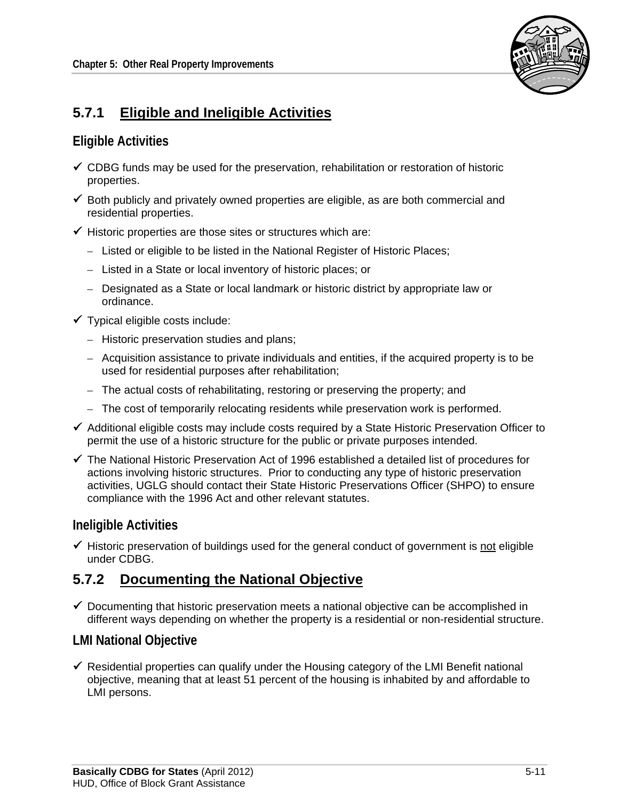

# **5.7.1 Eligible and Ineligible Activities**

## **Eligible Activities**

- $\checkmark$  CDBG funds may be used for the preservation, rehabilitation or restoration of historic properties.
- $\checkmark$  Both publicly and privately owned properties are eligible, as are both commercial and residential properties.
- $\checkmark$  Historic properties are those sites or structures which are:
	- Listed or eligible to be listed in the National Register of Historic Places;
	- Listed in a State or local inventory of historic places; or
	- Designated as a State or local landmark or historic district by appropriate law or ordinance.
- $\checkmark$  Typical eligible costs include:
	- Historic preservation studies and plans;
	- Acquisition assistance to private individuals and entities, if the acquired property is to be used for residential purposes after rehabilitation;
	- The actual costs of rehabilitating, restoring or preserving the property; and
	- The cost of temporarily relocating residents while preservation work is performed.
- $\checkmark$  Additional eligible costs may include costs required by a State Historic Preservation Officer to permit the use of a historic structure for the public or private purposes intended.
- $\checkmark$  The National Historic Preservation Act of 1996 established a detailed list of procedures for actions involving historic structures. Prior to conducting any type of historic preservation activities, UGLG should contact their State Historic Preservations Officer (SHPO) to ensure compliance with the 1996 Act and other relevant statutes.

### **Ineligible Activities**

 $\checkmark$  Historic preservation of buildings used for the general conduct of government is not eligible under CDBG.

## **5.7.2 Documenting the National Objective**

 $\checkmark$  Documenting that historic preservation meets a national objective can be accomplished in different ways depending on whether the property is a residential or non-residential structure.

### **LMI National Objective**

 $\checkmark$  Residential properties can qualify under the Housing category of the LMI Benefit national objective, meaning that at least 51 percent of the housing is inhabited by and affordable to LMI persons.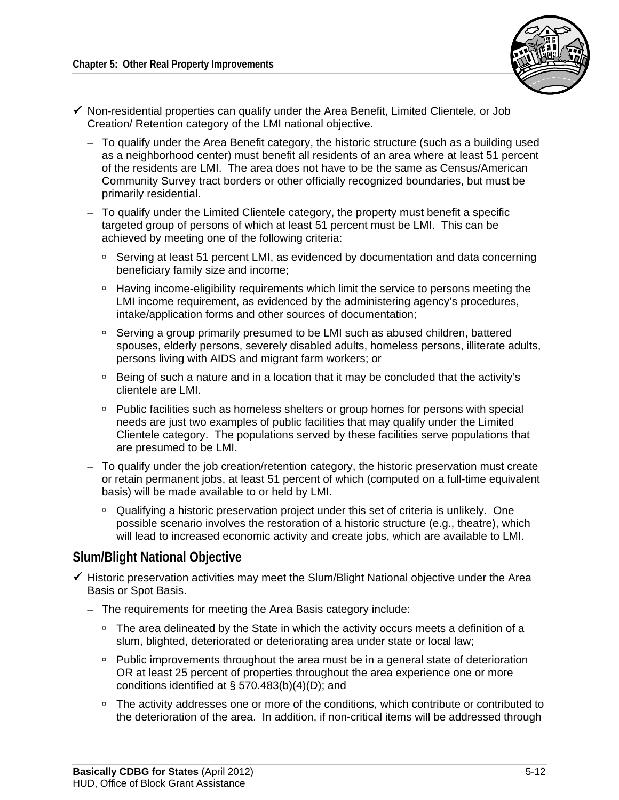

- $\checkmark$  Non-residential properties can qualify under the Area Benefit, Limited Clientele, or Job Creation/ Retention category of the LMI national objective.
	- To qualify under the Area Benefit category, the historic structure (such as a building used as a neighborhood center) must benefit all residents of an area where at least 51 percent of the residents are LMI. The area does not have to be the same as Census/American Community Survey tract borders or other officially recognized boundaries, but must be primarily residential.
	- To qualify under the Limited Clientele category, the property must benefit a specific targeted group of persons of which at least 51 percent must be LMI. This can be achieved by meeting one of the following criteria:
		- □ Serving at least 51 percent LMI, as evidenced by documentation and data concerning beneficiary family size and income;
		- <sup>n</sup> Having income-eligibility requirements which limit the service to persons meeting the LMI income requirement, as evidenced by the administering agency's procedures, intake/application forms and other sources of documentation;
		- □ Serving a group primarily presumed to be LMI such as abused children, battered spouses, elderly persons, severely disabled adults, homeless persons, illiterate adults, persons living with AIDS and migrant farm workers; or
		- □ Being of such a nature and in a location that it may be concluded that the activity's clientele are LMI.
		- Public facilities such as homeless shelters or group homes for persons with special needs are just two examples of public facilities that may qualify under the Limited Clientele category. The populations served by these facilities serve populations that are presumed to be LMI.
	- To qualify under the job creation/retention category, the historic preservation must create or retain permanent jobs, at least 51 percent of which (computed on a full-time equivalent basis) will be made available to or held by LMI.
		- <sup>D</sup> Qualifying a historic preservation project under this set of criteria is unlikely. One possible scenario involves the restoration of a historic structure (e.g., theatre), which will lead to increased economic activity and create jobs, which are available to LMI.

### **Slum/Blight National Objective**

- $\checkmark$  Historic preservation activities may meet the Slum/Blight National objective under the Area Basis or Spot Basis.
	- The requirements for meeting the Area Basis category include:
		- □ The area delineated by the State in which the activity occurs meets a definition of a slum, blighted, deteriorated or deteriorating area under state or local law;
		- Public improvements throughout the area must be in a general state of deterioration OR at least 25 percent of properties throughout the area experience one or more conditions identified at § 570.483(b)(4)(D); and
		- <sup>n</sup> The activity addresses one or more of the conditions, which contribute or contributed to the deterioration of the area. In addition, if non-critical items will be addressed through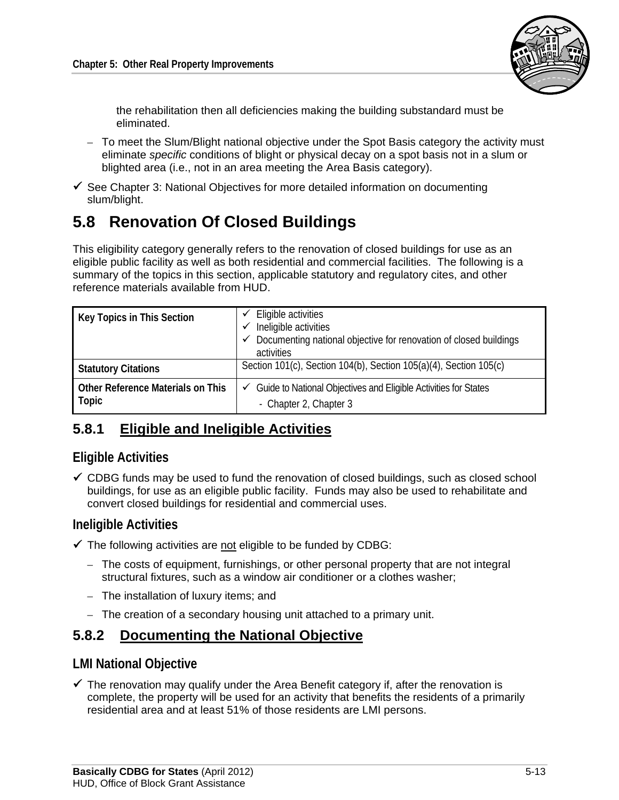

the rehabilitation then all deficiencies making the building substandard must be eliminated.

- To meet the Slum/Blight national objective under the Spot Basis category the activity must eliminate *specific* conditions of blight or physical decay on a spot basis not in a slum or blighted area (i.e., not in an area meeting the Area Basis category).
- $\checkmark$  See Chapter 3: National Objectives for more detailed information on documenting slum/blight.

# **5.8 Renovation Of Closed Buildings**

This eligibility category generally refers to the renovation of closed buildings for use as an eligible public facility as well as both residential and commercial facilities. The following is a summary of the topics in this section, applicable statutory and regulatory cites, and other reference materials available from HUD.

| Key Topics in This Section                 | Eligible activities<br>Ineligible activities<br>Documenting national objective for renovation of closed buildings<br>activities |
|--------------------------------------------|---------------------------------------------------------------------------------------------------------------------------------|
| <b>Statutory Citations</b>                 | Section 101(c), Section 104(b), Section 105(a)(4), Section 105(c)                                                               |
| Other Reference Materials on This<br>Topic | $\checkmark$ Guide to National Objectives and Eligible Activities for States<br>- Chapter 2, Chapter 3                          |

# **5.8.1 Eligible and Ineligible Activities**

## **Eligible Activities**

 $\checkmark$  CDBG funds may be used to fund the renovation of closed buildings, such as closed school buildings, for use as an eligible public facility. Funds may also be used to rehabilitate and convert closed buildings for residential and commercial uses.

## **Ineligible Activities**

- $\checkmark$  The following activities are not eligible to be funded by CDBG:
	- The costs of equipment, furnishings, or other personal property that are not integral structural fixtures, such as a window air conditioner or a clothes washer;
	- The installation of luxury items; and
	- The creation of a secondary housing unit attached to a primary unit.

## **5.8.2 Documenting the National Objective**

### **LMI National Objective**

 $\checkmark$  The renovation may qualify under the Area Benefit category if, after the renovation is complete, the property will be used for an activity that benefits the residents of a primarily residential area and at least 51% of those residents are LMI persons.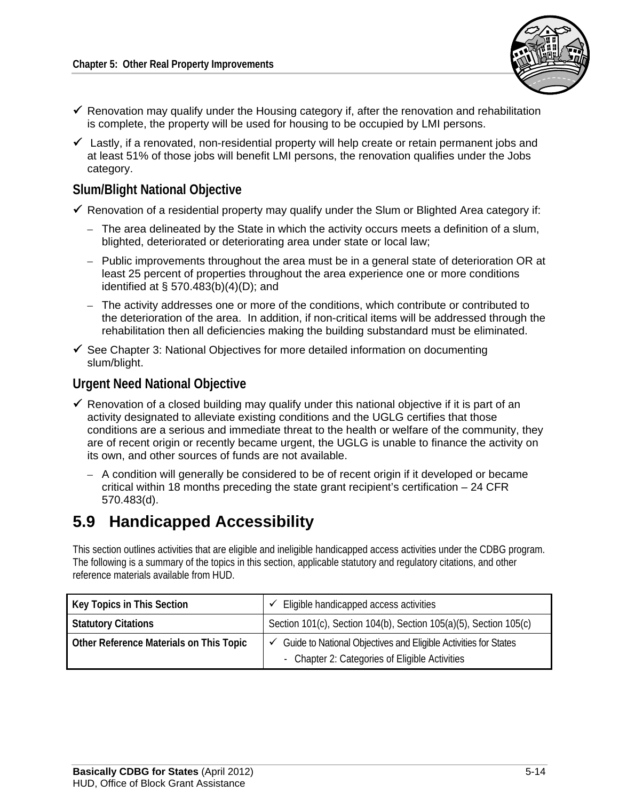

- $\checkmark$  Renovation may qualify under the Housing category if, after the renovation and rehabilitation is complete, the property will be used for housing to be occupied by LMI persons.
- $\checkmark$  Lastly, if a renovated, non-residential property will help create or retain permanent jobs and at least 51% of those jobs will benefit LMI persons, the renovation qualifies under the Jobs category.

### **Slum/Blight National Objective**

- $\checkmark$  Renovation of a residential property may qualify under the Slum or Blighted Area category if:
	- The area delineated by the State in which the activity occurs meets a definition of a slum, blighted, deteriorated or deteriorating area under state or local law;
	- Public improvements throughout the area must be in a general state of deterioration OR at least 25 percent of properties throughout the area experience one or more conditions identified at § 570.483(b)(4)(D); and
	- The activity addresses one or more of the conditions, which contribute or contributed to the deterioration of the area. In addition, if non-critical items will be addressed through the rehabilitation then all deficiencies making the building substandard must be eliminated.
- $\checkmark$  See Chapter 3: National Objectives for more detailed information on documenting slum/blight.

### **Urgent Need National Objective**

- $\checkmark$  Renovation of a closed building may qualify under this national objective if it is part of an activity designated to alleviate existing conditions and the UGLG certifies that those conditions are a serious and immediate threat to the health or welfare of the community, they are of recent origin or recently became urgent, the UGLG is unable to finance the activity on its own, and other sources of funds are not available.
	- A condition will generally be considered to be of recent origin if it developed or became critical within 18 months preceding the state grant recipient's certification  $-24$  CFR 570.483(d).

# **5.9 Handicapped Accessibility**

This section outlines activities that are eligible and ineligible handicapped access activities under the CDBG program. The following is a summary of the topics in this section, applicable statutory and regulatory citations, and other reference materials available from HUD.

| Key Topics in This Section              | Eligible handicapped access activities                                                                            |
|-----------------------------------------|-------------------------------------------------------------------------------------------------------------------|
| <b>Statutory Citations</b>              | Section 101(c), Section 104(b), Section 105(a)(5), Section 105(c)                                                 |
| Other Reference Materials on This Topic | Guide to National Objectives and Eligible Activities for States<br>- Chapter 2: Categories of Eligible Activities |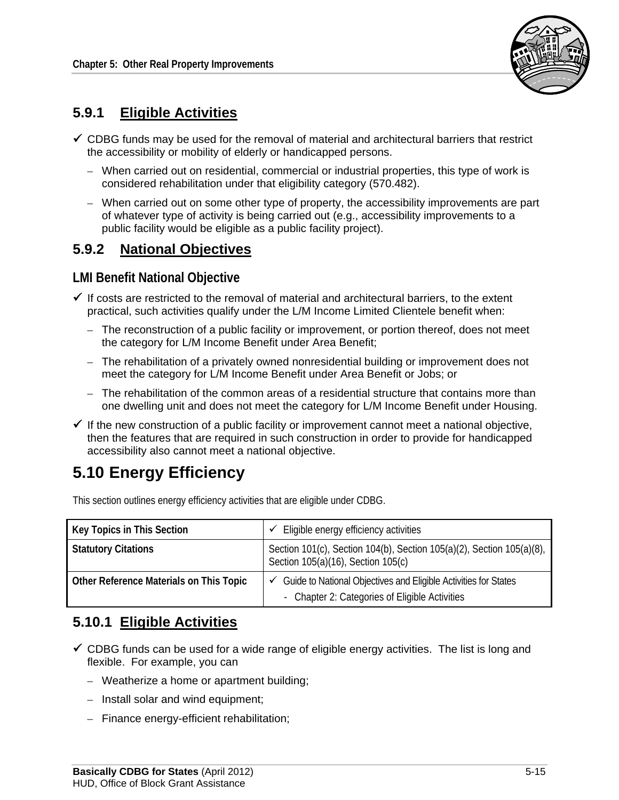

## **5.9.1 Eligible Activities**

- $\checkmark$  CDBG funds may be used for the removal of material and architectural barriers that restrict the accessibility or mobility of elderly or handicapped persons.
	- When carried out on residential, commercial or industrial properties, this type of work is considered rehabilitation under that eligibility category (570.482).
	- When carried out on some other type of property, the accessibility improvements are part of whatever type of activity is being carried out (e.g., accessibility improvements to a public facility would be eligible as a public facility project).

## **5.9.2 National Objectives**

#### **LMI Benefit National Objective**

- $\checkmark$  If costs are restricted to the removal of material and architectural barriers, to the extent practical, such activities qualify under the L/M Income Limited Clientele benefit when:
	- The reconstruction of a public facility or improvement, or portion thereof, does not meet the category for L/M Income Benefit under Area Benefit;
	- The rehabilitation of a privately owned nonresidential building or improvement does not meet the category for L/M Income Benefit under Area Benefit or Jobs; or
	- The rehabilitation of the common areas of a residential structure that contains more than one dwelling unit and does not meet the category for L/M Income Benefit under Housing.
- $\checkmark$  If the new construction of a public facility or improvement cannot meet a national objective, then the features that are required in such construction in order to provide for handicapped accessibility also cannot meet a national objective.

# **5.10 Energy Efficiency**

This section outlines energy efficiency activities that are eligible under CDBG.

| Key Topics in This Section              | Eligible energy efficiency activities                                                                                          |
|-----------------------------------------|--------------------------------------------------------------------------------------------------------------------------------|
| <b>Statutory Citations</b>              | Section 101(c), Section 104(b), Section 105(a)(2), Section 105(a)(8),<br>Section 105(a)(16), Section 105(c)                    |
| Other Reference Materials on This Topic | $\checkmark$ Guide to National Objectives and Eligible Activities for States<br>- Chapter 2: Categories of Eligible Activities |

## **5.10.1 Eligible Activities**

- $\checkmark$  CDBG funds can be used for a wide range of eligible energy activities. The list is long and flexible. For example, you can
	- Weatherize a home or apartment building;
	- Install solar and wind equipment;
	- Finance energy-efficient rehabilitation;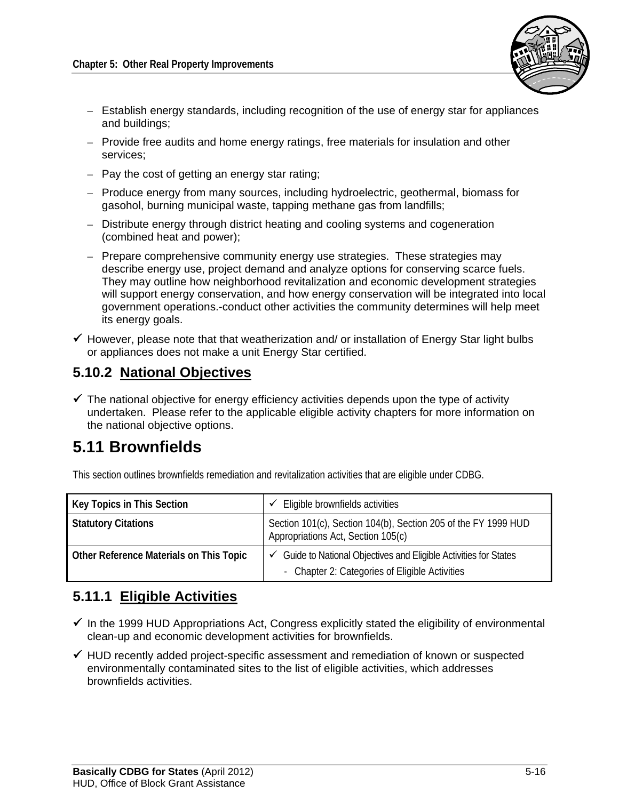

- Establish energy standards, including recognition of the use of energy star for appliances and buildings;
- Provide free audits and home energy ratings, free materials for insulation and other services;
- Pay the cost of getting an energy star rating;
- Produce energy from many sources, including hydroelectric, geothermal, biomass for gasohol, burning municipal waste, tapping methane gas from landfills;
- Distribute energy through district heating and cooling systems and cogeneration (combined heat and power);
- Prepare comprehensive community energy use strategies. These strategies may describe energy use, project demand and analyze options for conserving scarce fuels. They may outline how neighborhood revitalization and economic development strategies will support energy conservation, and how energy conservation will be integrated into local government operations.-conduct other activities the community determines will help meet its energy goals.
- $\checkmark$  However, please note that that weatherization and/ or installation of Energy Star light bulbs or appliances does not make a unit Energy Star certified.

## **5.10.2 National Objectives**

 $\checkmark$  The national objective for energy efficiency activities depends upon the type of activity undertaken. Please refer to the applicable eligible activity chapters for more information on the national objective options.

# **5.11 Brownfields**

This section outlines brownfields remediation and revitalization activities that are eligible under CDBG.

| Key Topics in This Section              | Eligible brownfields activities                                                                                   |
|-----------------------------------------|-------------------------------------------------------------------------------------------------------------------|
| <b>Statutory Citations</b>              | Section 101(c), Section 104(b), Section 205 of the FY 1999 HUD<br>Appropriations Act, Section 105(c)              |
| Other Reference Materials on This Topic | Guide to National Objectives and Eligible Activities for States<br>- Chapter 2: Categories of Eligible Activities |

## **5.11.1 Eligible Activities**

- $\checkmark$  In the 1999 HUD Appropriations Act, Congress explicitly stated the eligibility of environmental clean-up and economic development activities for brownfields.
- $\checkmark$  HUD recently added project-specific assessment and remediation of known or suspected environmentally contaminated sites to the list of eligible activities, which addresses brownfields activities.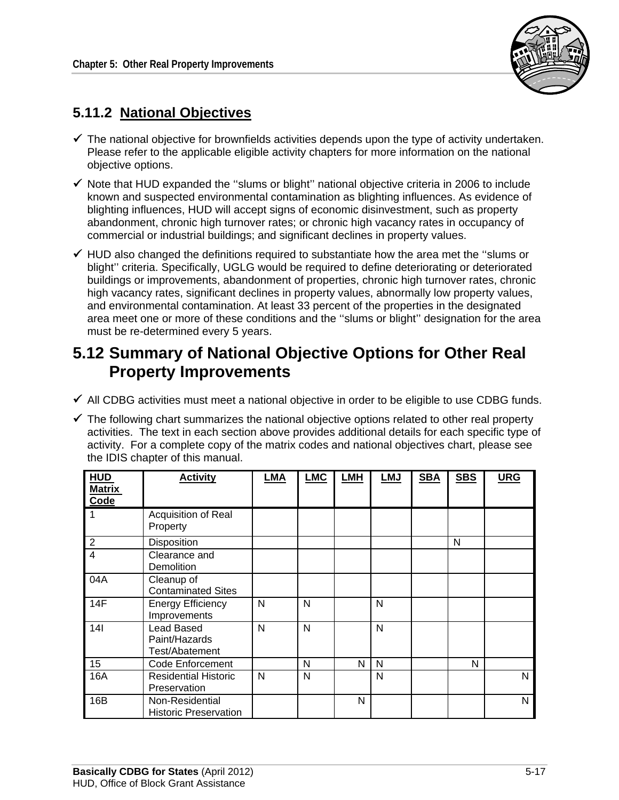

# **5.11.2 National Objectives**

- $\checkmark$  The national objective for brownfields activities depends upon the type of activity undertaken. Please refer to the applicable eligible activity chapters for more information on the national objective options.
- $\checkmark$  Note that HUD expanded the "slums or blight" national objective criteria in 2006 to include known and suspected environmental contamination as blighting influences. As evidence of blighting influences, HUD will accept signs of economic disinvestment, such as property abandonment, chronic high turnover rates; or chronic high vacancy rates in occupancy of commercial or industrial buildings; and significant declines in property values.
- $\checkmark$  HUD also changed the definitions required to substantiate how the area met the "slums or blight'' criteria. Specifically, UGLG would be required to define deteriorating or deteriorated buildings or improvements, abandonment of properties, chronic high turnover rates, chronic high vacancy rates, significant declines in property values, abnormally low property values, and environmental contamination. At least 33 percent of the properties in the designated area meet one or more of these conditions and the ''slums or blight'' designation for the area must be re-determined every 5 years.

# **5.12 Summary of National Objective Options for Other Real Property Improvements**

- $\checkmark$  All CDBG activities must meet a national objective in order to be eligible to use CDBG funds.
- $\checkmark$  The following chart summarizes the national objective options related to other real property activities. The text in each section above provides additional details for each specific type of activity. For a complete copy of the matrix codes and national objectives chart, please see the IDIS chapter of this manual.

| <b>HUD</b><br><b>Matrix</b><br>Code | <b>Activity</b>                                      | <b>LMA</b> | <b>LMC</b> | LMH | <b>LMJ</b> | <b>SBA</b> | <b>SBS</b> | <b>URG</b> |
|-------------------------------------|------------------------------------------------------|------------|------------|-----|------------|------------|------------|------------|
| -1                                  | Acquisition of Real<br>Property                      |            |            |     |            |            |            |            |
| $\overline{2}$                      | Disposition                                          |            |            |     |            |            | N          |            |
| $\overline{4}$                      | Clearance and<br>Demolition                          |            |            |     |            |            |            |            |
| 04A                                 | Cleanup of<br><b>Contaminated Sites</b>              |            |            |     |            |            |            |            |
| 14F                                 | <b>Energy Efficiency</b><br>Improvements             | N          | N          |     | N          |            |            |            |
| 14 <sub>l</sub>                     | <b>Lead Based</b><br>Paint/Hazards<br>Test/Abatement | N          | N          |     | N          |            |            |            |
| 15                                  | <b>Code Enforcement</b>                              |            | N          | N   | N          |            | N          |            |
| 16A                                 | <b>Residential Historic</b><br>Preservation          | N          | N          |     | N          |            |            | N          |
| 16B                                 | Non-Residential<br><b>Historic Preservation</b>      |            |            | N   |            |            |            | N          |